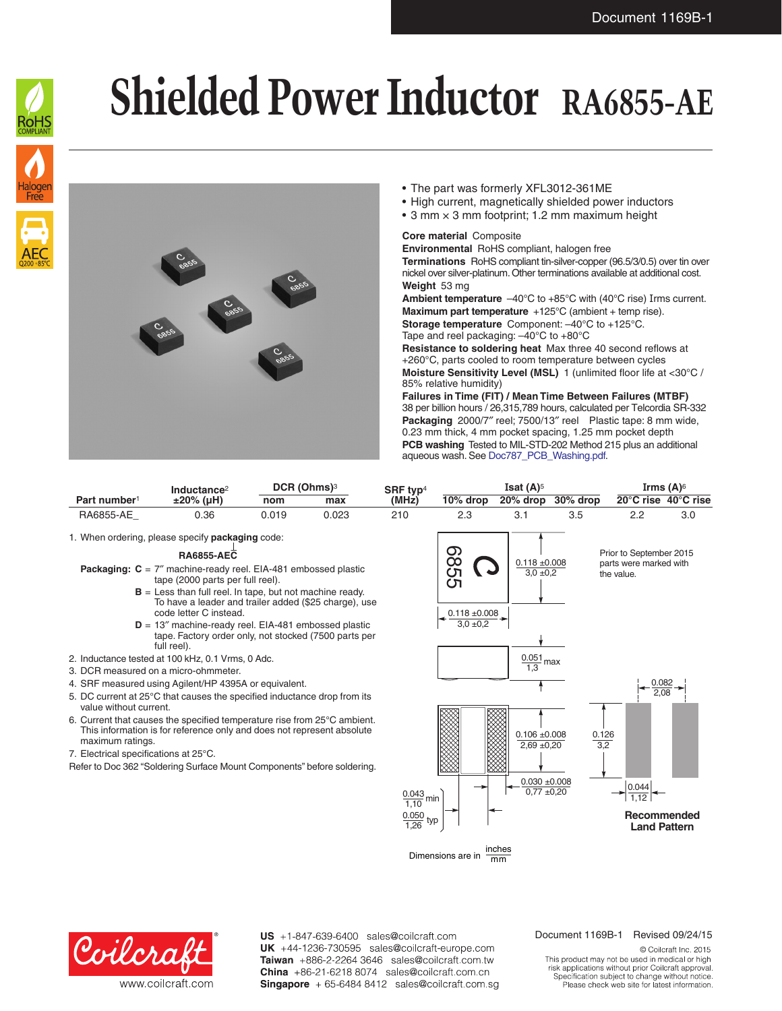

## **Shielded Power Inductor RA6855-AE**



- The part was formerly XFL3012-361ME
- High current, magnetically shielded power inductors
- 3 mm  $\times$  3 mm footprint; 1.2 mm maximum height

## **Core material** Composite

**Environmental** RoHS compliant, halogen free **Terminations** RoHS compliant tin-silver-copper (96.5/3/0.5) over tin over nickel over silver-platinum. Other terminations available at additional cost. **Weight** 53 mg

**Ambient temperature** –40°C to +85°C with (40°C rise) Irms current. **Maximum part temperature** +125°C (ambient + temp rise).

**Storage temperature** Component: –40°C to +125°C. Tape and reel packaging: –40°C to +80°C

**Resistance to soldering heat** Max three 40 second reflows at +260°C, parts cooled to room temperature between cycles **Moisture Sensitivity Level (MSL)** 1 (unlimited floor life at <30°C / 85% relative humidity)

**Failures in Time (FIT) / Mean Time Between Failures (MTBF)** 38 per billion hours / 26,315,789 hours, calculated per Telcordia SR-332 **Packaging** 2000/7″ reel; 7500/13″ reel Plastic tape: 8 mm wide, 0.23 mm thick, 4 mm pocket spacing, 1.25 mm pocket depth **PCB washing** Tested to MIL-STD-202 Method 215 plus an additional aqueous wash. See [Doc787\\_PCB\\_Washing.pdf](http://www.coilcraft.com/pdfs/Doc787_PCB_Washing.pdf).

|                          | Inductance <sup>2</sup> | DCR (Ohms) <sup>3</sup> |       | SRF typ <sup>4</sup> | Isat $(A)$ <sup>5</sup> |          |             | Irms $(A)$ <sup>6</sup> |     |
|--------------------------|-------------------------|-------------------------|-------|----------------------|-------------------------|----------|-------------|-------------------------|-----|
| Part number <sup>1</sup> | $±20\%$ (µH)            | nom                     | max   | $(MH\bar{z})$        | $10\%$ drop             | 20% drop | $30\%$ drop | 20°C rise 40°C rise     |     |
| <b>RA6855-AE</b>         | ).36                    | 0.019                   | ገ.023 | 210                  |                         |          |             |                         | 3.C |

1. When ordering, please specify **packaging** code:

## **RA6855-AEC**

- **Packaging: C** = 7″ machine-ready reel. EIA-481 embossed plastic tape (2000 parts per full reel).
	- **B** = Less than full reel. In tape, but not machine ready. To have a leader and trailer added (\$25 charge), use code letter C instead.
	- **D** = 13″ machine-ready reel. EIA-481 embossed plastic tape. Factory order only, not stocked (7500 parts per full reel).
- 2. Inductance tested at 100 kHz, 0.1 Vrms, 0 Adc.
- 3. DCR measured on a micro-ohmmeter.
- 4. SRF measured using Agilent/HP 4395A or equivalent.
- 5. DC current at 25°C that causes the specified inductance drop from its value without current.
- 6. Current that causes the specified temperature rise from 25°C ambient. This information is for reference only and does not represent absolute maximum ratings.
- 7. Electrical specifications at 25°C.
- Refer to Doc 362 "Soldering Surface Mount Components" before soldering.



Dimensions are in mm



US +1-847-639-6400 sales@coilcraft.com UK +44-1236-730595 sales@coilcraft-europe.com Taiwan +886-2-2264 3646 sales@coilcraft.com.tw China +86-21-6218 8074 sales@coilcraft.com.cn Singapore + 65-6484 8412 sales@coilcraft.com.sg

## Document 1169B-1 Revised 09/24/15

© Coilcraft Inc. 2015 This product may not be used in medical or high risk applications without prior Coilcraft approval. Specification subject to change without notice.<br>Please check web site for latest information.